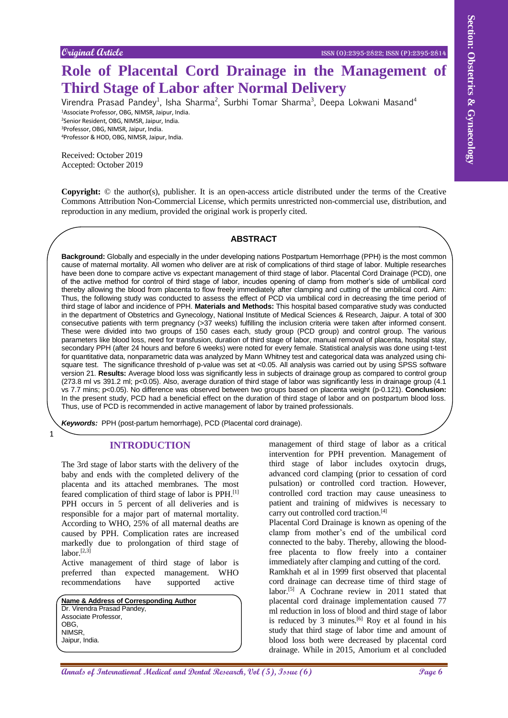# **Role of Placental Cord Drainage in the Management of Third Stage of Labor after Normal Delivery**

Virendra Prasad Pandey<sup>1</sup>, Isha Sharma<sup>2</sup>, Surbhi Tomar Sharma<sup>3</sup>, Deepa Lokwani Masand<sup>4</sup> Associate Professor, OBG, NIMSR, Jaipur, India. Senior Resident, OBG, NIMSR, Jaipur, India. Professor, OBG, NIMSR, Jaipur, India.

<sup>4</sup>Professor & HOD, OBG, NIMSR, Jaipur, India.

Received: October 2019 Accepted: October 2019

**Copyright:** © the author(s), publisher. It is an open-access article distributed under the terms of the Creative Commons Attribution Non-Commercial License, which permits unrestricted non-commercial use, distribution, and reproduction in any medium, provided the original work is properly cited.

#### **ABSTRACT**

Coupled Gode.<br> **Annals of Placental Cord Drainage in the Management of Experiment Schedule Third Stage of Labor after Normal Delivery<br>
<b>Third Stage of Labor after Normal Delivery**<br> **Annals Propose is not allow the second Background:** Globally and especially in the under developing nations Postpartum Hemorrhage (PPH) is the most common cause of maternal mortality. All women who deliver are at risk of complications of third stage of labor. Multiple researches have been done to compare active vs expectant management of third stage of labor. Placental Cord Drainage (PCD), one of the active method for control of third stage of labor, incudes opening of clamp from mother's side of umbilical cord thereby allowing the blood from placenta to flow freely immediately after clamping and cutting of the umbilical cord. Aim: Thus, the following study was conducted to assess the effect of PCD via umbilical cord in decreasing the time period of third stage of labor and incidence of PPH. **Materials and Methods:** This hospital based comparative study was conducted in the department of Obstetrics and Gynecology, National Institute of Medical Sciences & Research, Jaipur. A total of 300 consecutive patients with term pregnancy (>37 weeks) fulfilling the inclusion criteria were taken after informed consent. These were divided into two groups of 150 cases each, study group (PCD group) and control group. The various parameters like blood loss, need for transfusion, duration of third stage of labor, manual removal of placenta, hospital stay, secondary PPH (after 24 hours and before 6 weeks) were noted for every female. Statistical analysis was done using t-test for quantitative data, nonparametric data was analyzed by Mann Whitney test and categorical data was analyzed using chisquare test. The significance threshold of p-value was set at <0.05. All analysis was carried out by using SPSS software version 21. **Results:** Average blood loss was significantly less in subjects of drainage group as compared to control group (273.8 ml vs 391.2 ml; p<0.05). Also, average duration of third stage of labor was significantly less in drainage group (4.1 vs 7.7 mins; p<0.05). No difference was observed between two groups based on placenta weight (p-0.121). **Conclusion:** In the present study, PCD had a beneficial effect on the duration of third stage of labor and on postpartum blood loss. Thus, use of PCD is recommended in active management of labor by trained professionals.

*Keywords:* PPH (post-partum hemorrhage), PCD (Placental cord drainage).

## **INTRODUCTION**

1

The 3rd stage of labor starts with the delivery of the baby and ends with the completed delivery of the placenta and its attached membranes. The most feared complication of third stage of labor is PPH.<sup>[1]</sup> PPH occurs in 5 percent of all deliveries and is responsible for a major part of maternal mortality. According to WHO, 25% of all maternal deaths are caused by PPH. Complication rates are increased markedly due to prolongation of third stage of labor. $[2,3]$ 

Active management of third stage of labor is preferred than expected management. WHO preferred than expected management. WHO recommendations have supported active

| Name & Address of Corresponding Author |
|----------------------------------------|
| Dr. Virendra Prasad Pandey,            |
| Associate Professor,                   |
| OBG.                                   |
| NIMSR.                                 |
| Jaipur, India.                         |

management of third stage of labor as a critical intervention for PPH prevention. Management of third stage of labor includes oxytocin drugs, advanced cord clamping (prior to cessation of cord pulsation) or controlled cord traction. However, controlled cord traction may cause uneasiness to patient and training of midwives is necessary to carry out controlled cord traction. [4]

Placental Cord Drainage is known as opening of the clamp from mother's end of the umbilical cord connected to the baby. Thereby, allowing the bloodfree placenta to flow freely into a container immediately after clamping and cutting of the cord. Ramkhah et al in 1999 first observed that placental cord drainage can decrease time of third stage of labor.<sup>[5]</sup> A Cochrane review in 2011 stated that placental cord drainage implementation caused 77 ml reduction in loss of blood and third stage of labor is reduced by 3 minutes. $[6]$  Roy et al found in his study that third stage of labor time and amount of blood loss both were decreased by placental cord drainage. While in 2015, Amorium et al concluded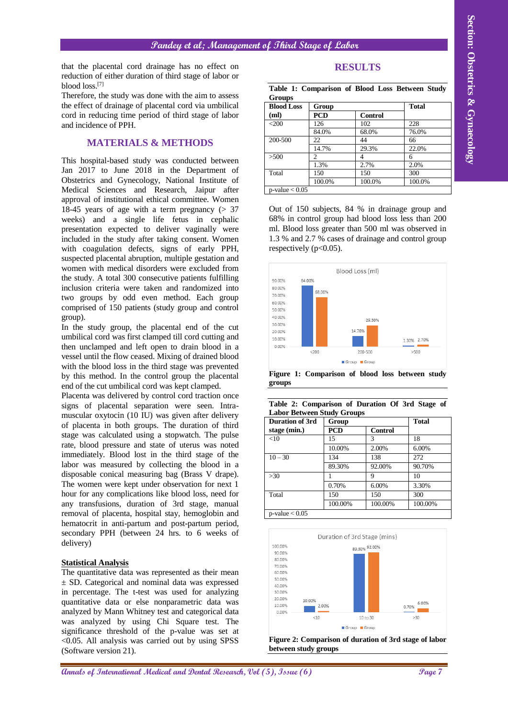**Pandey et al; Management of Third Stage of Labor**

that the placental cord drainage has no effect on reduction of either duration of third stage of labor or blood loss.[7]

Therefore, the study was done with the aim to assess the effect of drainage of placental cord via umbilical cord in reducing time period of third stage of labor and incidence of PPH.

## **MATERIALS & METHODS**

**Annals of Constrainers of Basic Engine Constrainers of Basic Engine Constrainers and Dental Research, October 2014 (Constrainers and Dental Research, October 2014 (Constrainers and Dental Research, October 2014 (Constrai** This hospital-based study was conducted between Jan 2017 to June 2018 in the Department of Obstetrics and Gynecology, National Institute of Medical Sciences and Research, Jaipur after approval of institutional ethical committee. Women 18-45 years of age with a term pregnancy  $(> 37)$ weeks) and a single life fetus in cephalic presentation expected to deliver vaginally were included in the study after taking consent. Women with coagulation defects, signs of early PPH, suspected placental abruption, multiple gestation and women with medical disorders were excluded from the study. A total 300 consecutive patients fulfilling inclusion criteria were taken and randomized into two groups by odd even method. Each group comprised of 150 patients (study group and control group).

In the study group, the placental end of the cut umbilical cord was first clamped till cord cutting and then unclamped and left open to drain blood in a vessel until the flow ceased. Mixing of drained blood with the blood loss in the third stage was prevented by this method. In the control group the placental end of the cut umbilical cord was kept clamped.

Placenta was delivered by control cord traction once signs of placental separation were seen. Intramuscular oxytocin (10 IU) was given after delivery of placenta in both groups. The duration of third stage was calculated using a stopwatch. The pulse rate, blood pressure and state of uterus was noted immediately. Blood lost in the third stage of the labor was measured by collecting the blood in a disposable conical measuring bag (Brass V drape). The women were kept under observation for next 1 hour for any complications like blood loss, need for any transfusions, duration of 3rd stage, manual removal of placenta, hospital stay, hemoglobin and hematocrit in anti-partum and post-partum period, secondary PPH (between 24 hrs. to 6 weeks of delivery)

#### **Statistical Analysis**

The quantitative data was represented as their mean ± SD. Categorical and nominal data was expressed in percentage. The t-test was used for analyzing quantitative data or else nonparametric data was analyzed by Mann Whitney test and categorical data was analyzed by using Chi Square test. The significance threshold of the p-value was set at  $<$ 0.05. All analysis was carried out by using SPSS (Software version 21).

| ٠ |
|---|
|---|

**Table 1: Comparison of Blood Loss Between Study Groups**

| <b>Blood Loss</b>   | Group      | <b>Total</b>   |        |
|---------------------|------------|----------------|--------|
| (ml)                | <b>PCD</b> | <b>Control</b> |        |
| $<$ 200             | 126        | 102            | 228    |
|                     | 84.0%      | 68.0%          | 76.0%  |
| 200-500             | 22         | 44             | 66     |
|                     | 14.7%      | 29.3%          | 22.0%  |
| >500                | 2          |                | 6      |
|                     | 1.3%       | 2.7%           | 2.0%   |
| Total               | 150        | 150            | 300    |
|                     | 100.0%     | 100.0%         | 100.0% |
| $p$ -value $< 0.05$ |            |                |        |

Out of 150 subjects, 84 % in drainage group and 68% in control group had blood loss less than 200 ml. Blood loss greater than 500 ml was observed in 1.3 % and 2.7 % cases of drainage and control group respectively  $(p<0.05)$ .



**Figure 1: Comparison of blood loss between study groups**

|  | Table 2: Comparison of Duration Of 3rd Stage of |  |  |  |
|--|-------------------------------------------------|--|--|--|
|  | <b>Labor Between Study Groups</b>               |  |  |  |

| <b>Duration of 3rd</b> | Group      |                | <b>Total</b> |  |
|------------------------|------------|----------------|--------------|--|
| stage (min.)           | <b>PCD</b> | <b>Control</b> |              |  |
| <10                    | 15         | 3              | 18           |  |
|                        | 10.00%     | 2.00%          | 6.00%        |  |
| $10 - 30$              | 134        | 138            | 272          |  |
|                        | 89.30%     | 92.00%         | 90.70%       |  |
| $>30$                  |            | 9              | 10           |  |
|                        | 0.70%      | 6.00%          | 3.30%        |  |
| Total                  | 150        | 150            | 300          |  |
|                        | 100.00%    | 100.00%        | 100.00%      |  |
| $p$ -value $< 0.05$    |            |                |              |  |



**Figure 2: Comparison of duration of 3rd stage of labor between study groups**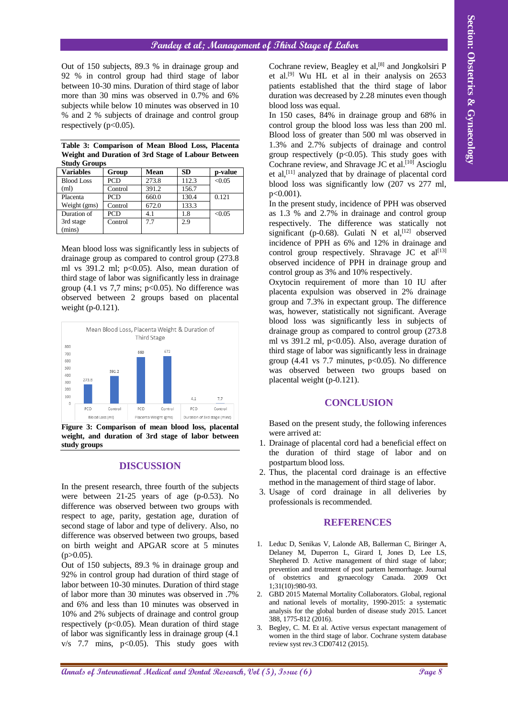## **Pandey et al; Management of Third Stage of Labor**

Out of 150 subjects, 89.3 % in drainage group and 92 % in control group had third stage of labor between 10-30 mins. Duration of third stage of labor more than 30 mins was observed in 0.7% and 6% subjects while below 10 minutes was observed in 10 % and 2 % subjects of drainage and control group respectively  $(p<0.05)$ .

| <b>Study Groups</b> |            |             |           |         |  |
|---------------------|------------|-------------|-----------|---------|--|
| <b>Variables</b>    | Group      | <b>Mean</b> | <b>SD</b> | p-value |  |
| <b>Blood Loss</b>   | <b>PCD</b> | 273.8       | 112.3     | < 0.05  |  |
| (ml)                | Control    | 391.2       | 156.7     |         |  |
| Placenta            | <b>PCD</b> | 660.0       | 130.4     | 0.121   |  |
| Weight (gms)        | Control    | 672.0       | 133.3     |         |  |
| Duration of         | <b>PCD</b> | 4.1         | 1.8       | < 0.05  |  |
| 3rd stage           | Control    | 7.7         | 2.9       |         |  |
| (mins)              |            |             |           |         |  |

**Table 3: Comparison of Mean Blood Loss, Placenta Weight and Duration of 3rd Stage of Labour Between Study Groups**

Mean blood loss was significantly less in subjects of drainage group as compared to control group (273.8 ml vs  $391.2$  ml; p<0.05). Also, mean duration of third stage of labor was significantly less in drainage group (4.1 vs 7,7 mins;  $p<0.05$ ). No difference was observed between 2 groups based on placental weight (p-0.121).



**Figure 3: Comparison of mean blood loss, placental weight, and duration of 3rd stage of labor between study groups**

#### **DISCUSSION**

In the present research, three fourth of the subjects were between 21-25 years of age (p-0.53). No difference was observed between two groups with respect to age, parity, gestation age, duration of second stage of labor and type of delivery. Also, no difference was observed between two groups, based on birth weight and APGAR score at 5 minutes  $(p>0.05)$ .

Out of 150 subjects, 89.3 % in drainage group and 92% in control group had duration of third stage of labor between 10-30 minutes. Duration of third stage of labor more than 30 minutes was observed in .7% and 6% and less than 10 minutes was observed in 10% and 2% subjects of drainage and control group respectively ( $p<0.05$ ). Mean duration of third stage of labor was significantly less in drainage group (4.1  $v/s$  7.7 mins,  $p<0.05$ ). This study goes with Cochrane review, Beagley et al,<sup>[8]</sup> and Jongkolsiri P et al. [9] Wu HL et al in their analysis on 2653 patients established that the third stage of labor duration was decreased by 2.28 minutes even though blood loss was equal.

In 150 cases, 84% in drainage group and 68% in control group the blood loss was less than 200 ml. Blood loss of greater than 500 ml was observed in 1.3% and 2.7% subjects of drainage and control group respectively ( $p<0.05$ ). This study goes with Cochrane review, and Shravage JC et al.<sup>[10]</sup> Ascioglu et al,[11] analyzed that by drainage of placental cord blood loss was significantly low (207 vs 277 ml, p<0.001).

In the present study, incidence of PPH was observed as 1.3 % and 2.7% in drainage and control group respectively. The difference was statically not significant (p-0.68). Gulati N et al,  $[12]$  observed incidence of PPH as 6% and 12% in drainage and control group respectively. Shravage JC et  $al^{[13]}$ observed incidence of PPH in drainage group and control group as 3% and 10% respectively.

**Annals of Conservational Medical and Dental Annals of Dental Research, Conservation and Dental Annals of Dental Annals of Dental Annals of Dental Annals of Dental Research, Conservation and Dental Research, Obstetrics &** Oxytocin requirement of more than 10 IU after placenta expulsion was observed in 2% drainage group and 7.3% in expectant group. The difference was, however, statistically not significant. Average blood loss was significantly less in subjects of drainage group as compared to control group (273.8 ml vs  $391.2$  ml,  $p<0.05$ ). Also, average duration of third stage of labor was significantly less in drainage group (4.41 vs 7.7 minutes,  $p<0.05$ ). No difference was observed between two groups based on placental weight (p-0.121).

## **CONCLUSION**

Based on the present study, the following inferences were arrived at:

- 1. Drainage of placental cord had a beneficial effect on the duration of third stage of labor and on postpartum blood loss.
- 2. Thus, the placental cord drainage is an effective method in the management of third stage of labor.
- 3. Usage of cord drainage in all deliveries by professionals is recommended.

## **REFERENCES**

- 1. Leduc D, Senikas V, Lalonde AB, Ballerman C, Biringer A, Delaney M, Duperron L, Girard I, Jones D, Lee LS, Shephered D. Active management of third stage of labor; prevention and treatment of post partem hemorrhage. Journal of obstetrics and gynaecology Canada. 2009 Oct 1;31(10):980-93.
- 2. GBD 2015 Maternal Mortality Collaborators. Global, regional and national levels of mortality, 1990-2015: a systematic analysis for the global burden of disease study 2015. Lancet 388, 1775-812 (2016).
- 3. Begley, C. M. Et al. Active versus expectant management of women in the third stage of labor. Cochrane system database review syst rev.3 CD07412 (2015).